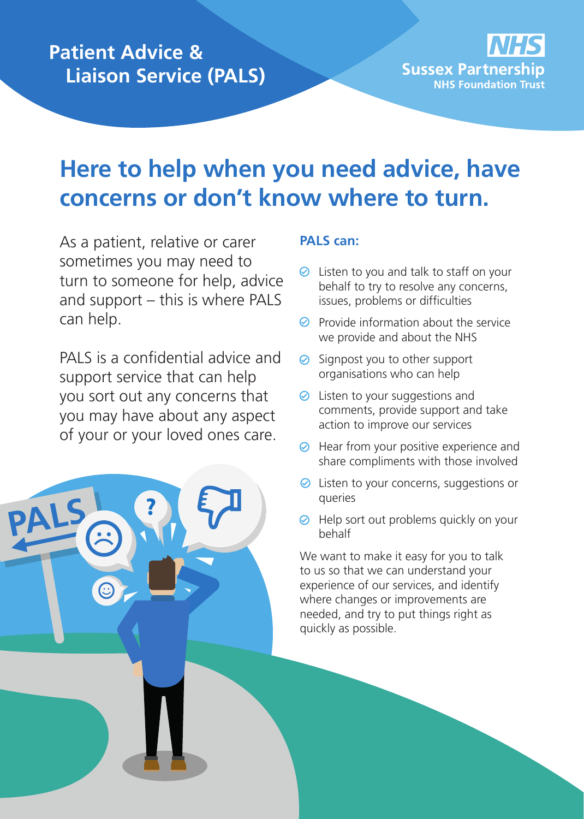#### **Patient Advice & Liaison Service (PALS)**



## **Here to help when you need advice, have concerns or don't know where to turn.**

As a patient, relative or carer sometimes you may need to turn to someone for help, advice and support – this is where PALS can help.

PALS is a confidential advice and support service that can help you sort out any concerns that you may have about any aspect of your or your loved ones care.

**PALS**

#### **PALS can:**

- $\odot$  Listen to you and talk to staff on your behalf to try to resolve any concerns, issues, problems or difficulties
- $\odot$  Provide information about the service we provide and about the NHS
- **⊘** Signpost you to other support organisations who can help
- **⊘** Listen to your suggestions and comments, provide support and take action to improve our services
- $\odot$  Hear from your positive experience and share compliments with those involved
- **⊘** Listen to your concerns, suggestions or queries
- $\odot$  Help sort out problems quickly on your behalf

We want to make it easy for you to talk to us so that we can understand your experience of our services, and identify where changes or improvements are needed, and try to put things right as quickly as possible.